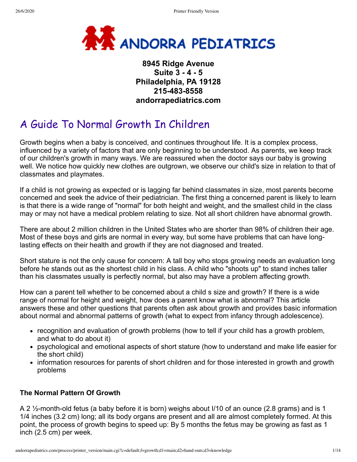

## **8945 Ridge Avenue Suite 3 - 4 - 5 Philadelphia, PA 19128 215-483-8558 andorrapediatrics.com**

# A Guide To Normal Growth In Children

Growth begins when a baby is conceived, and continues throughout life. It is a complex process, influenced by a variety of factors that are only beginning to be understood. As parents, we keep track of our children's growth in many ways. We are reassured when the doctor says our baby is growing well. We notice how quickly new clothes are outgrown, we observe our child's size in relation to that of classmates and playmates.

If a child is not growing as expected or is lagging far behind classmates in size, most parents become concerned and seek the advice of their pediatrician. The first thing a concerned parent is likely to learn is that there is a wide range of "normal" for both height and weight, and the smallest child in the class may or may not have a medical problem relating to size. Not all short children have abnormal growth.

There are about 2 million children in the United States who are shorter than 98% of children their age. Most of these boys and girls are normal in every way, but some have problems that can have longlasting effects on their health and growth if they are not diagnosed and treated.

Short stature is not the only cause for concern: A tall boy who stops growing needs an evaluation long before he stands out as the shortest child in his class. A child who "shoots up" to stand inches taller than his classmates usually is perfectly normal, but also may have a problem affecting growth.

How can a parent tell whether to be concerned about a child s size and growth? If there is a wide range of normal for height and weight, how does a parent know what is abnormal? This article answers these and other questions that parents often ask about growth and provides basic information about normal and abnormal patterns of growth (what to expect from infancy through adolescence).

- recognition and evaluation of growth problems (how to tell if your child has a growth problem, and what to do about it)
- psychological and emotional aspects of short stature (how to understand and make life easier for the short child)
- information resources for parents of short children and for those interested in growth and growth problems

#### **The Normal Pattern Of Growth**

A 2 ½-month-old fetus (a baby before it is born) weighs about I/10 of an ounce (2.8 grams) and is 1 1/4 inches (3.2 cm) long; all its body organs are present and all are almost completely formed. At this point, the process of growth begins to speed up: By 5 months the fetus may be growing as fast as 1 inch (2.5 cm) per week.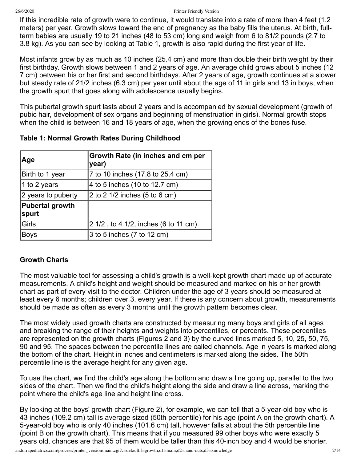#### 26/6/2020 Printer Friendly Version

If this incredible rate of growth were to continue, it would translate into a rate of more than 4 feet (1.2 meters) per year. Growth slows toward the end of pregnancy as the baby fills the uterus. At birth, fullterm babies are usually 19 to 21 inches (48 to 53 cm) long and weigh from 6 to 81/2 pounds (2.7 to 3.8 kg). As you can see by looking at Table 1, growth is also rapid during the first year of life.

Most infants grow by as much as 10 inches (25.4 cm) and more than double their birth weight by their first birthday. Growth slows between 1 and 2 years of age. An average child grows about 5 inches (12 7 cm) between his or her first and second birthdays. After 2 years of age, growth continues at a slower but steady rate of 21/2 inches (6.3 cm) per year until about the age of 11 in girls and 13 in boys, when the growth spurt that goes along with adolescence usually begins.

This pubertal growth spurt lasts about 2 years and is accompanied by sexual development (growth of pubic hair, development of sex organs and beginning of menstruation in girls). Normal growth stops when the child is between 16 and 18 years of age, when the growing ends of the bones fuse.

| Age                             | Growth Rate (in inches and cm per<br>year) |
|---------------------------------|--------------------------------------------|
| Birth to 1 year                 | 7 to 10 inches (17.8 to 25.4 cm)           |
| 1 to 2 years                    | 4 to 5 inches (10 to 12.7 cm)              |
| 2 years to puberty              | $ 2$ to 2 1/2 inches (5 to 6 cm)           |
| <b>Pubertal growth</b><br>spurt |                                            |
| Girls                           | 2 1/2, to 4 1/2, inches (6 to 11 cm)       |
| <b>Boys</b>                     | $ 3$ to 5 inches (7 to 12 cm)              |

### **Table 1: Normal Growth Rates During Childhood**

#### **Growth Charts**

The most valuable tool for assessing a child's growth is a well-kept growth chart made up of accurate measurements. A child's height and weight should be measured and marked on his or her growth chart as part of every visit to the doctor. Children under the age of 3 years should be measured at least every 6 months; children over 3, every year. If there is any concern about growth, measurements should be made as often as every 3 months until the growth pattern becomes clear.

The most widely used growth charts are constructed by measuring many boys and girls of all ages and breaking the range of their heights and weights into percentiles, or percents. These percentiles are represented on the growth charts (Figures 2 and 3) by the curved lines marked 5, 10, 25, 50, 75, 90 and 95. The spaces between the percentile lines are called channels. Age in years is marked along the bottom of the chart. Height in inches and centimeters is marked along the sides. The 50th percentile line is the average height for any given age.

To use the chart, we find the child's age along the bottom and draw a line going up, parallel to the two sides of the chart. Then we find the child's height along the side and draw a line across, marking the point where the child's age line and height line cross.

By looking at the boys' growth chart (Figure 2), for example, we can tell that a 5-year-old boy who is 43 inches (109.2 cm) tall is average sized (50th percentile) for his age (point A on the growth chart). A 5-year-old boy who is only 40 inches (101.6 cm) tall, however falls at about the 5th percentile line (point B on the growth chart). This means that if you measured 99 other boys who were exactly 5 years old, chances are that 95 of them would be taller than this 40-inch boy and 4 would be shorter.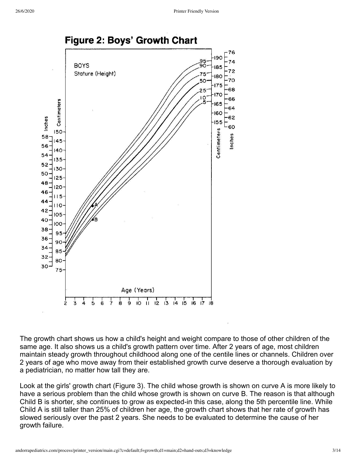

The growth chart shows us how a child's height and weight compare to those of other children of the same age. It also shows us a child's growth pattern over time. After 2 years of age, most children maintain steady growth throughout childhood along one of the centile lines or channels. Children over 2 years of age who move away from their established growth curve deserve a thorough evaluation by a pediatrician, no matter how tall they are.

Look at the girls' growth chart (Figure 3). The child whose growth is shown on curve A is more likely to have a serious problem than the child whose growth is shown on curve B. The reason is that although Child B is shorter, she continues to grow as expected-in this case, along the 5th percentile line. While Child A is still taller than 25% of children her age, the growth chart shows that her rate of growth has slowed seriously over the past 2 years. She needs to be evaluated to determine the cause of her growth failure.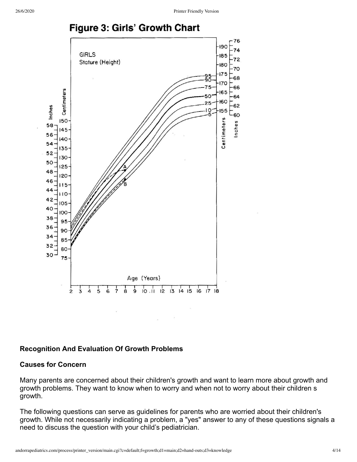## Figure 3: Girls' Growth Chart



#### **Recognition And Evaluation Of Growth Problems**

#### **Causes for Concern**

Many parents are concerned about their children's growth and want to learn more about growth and growth problems. They want to know when to worry and when not to worry about their children s growth.

The following questions can serve as guidelines for parents who are worried about their children's growth. While not necessarily indicating a problem, a "yes" answer to any of these questions signals a need to discuss the question with your child's pediatrician.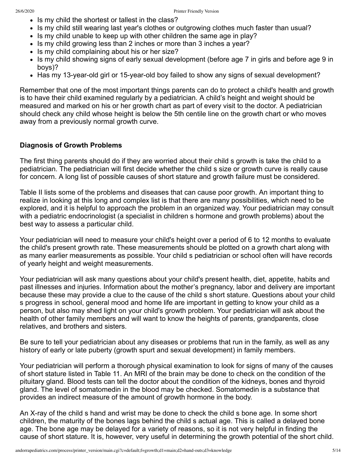- Is my child the shortest or tallest in the class?
- Is my child still wearing last year's clothes or outgrowing clothes much faster than usual?
- Is my child unable to keep up with other children the same age in play?
- Is my child growing less than 2 inches or more than 3 inches a year?
- Is my child complaining about his or her size?
- Is my child showing signs of early sexual development (before age 7 in girls and before age 9 in boys)?
- Has my 13-year-old girl or 15-year-old boy failed to show any signs of sexual development?

Remember that one of the most important things parents can do to protect a child's health and growth is to have their child examined regularly by a pediatrician. A child's height and weight should be measured and marked on his or her growth chart as part of every visit to the doctor. A pediatrician should check any child whose height is below the 5th centile line on the growth chart or who moves away from a previously normal growth curve.

#### **Diagnosis of Growth Problems**

The first thing parents should do if they are worried about their child s growth is take the child to a pediatrician. The pediatrician will first decide whether the child s size or growth curve is really cause for concern. A long list of possible causes of short stature and growth failure must be considered.

Table II lists some of the problems and diseases that can cause poor growth. An important thing to realize in looking at this long and complex list is that there are many possibilities, which need to be explored, and it is helpful to approach the problem in an organized way. Your pediatrician may consult with a pediatric endocrinologist (a specialist in children s hormone and growth problems) about the best way to assess a particular child.

Your pediatrician will need to measure your child's height over a period of 6 to 12 months to evaluate the child's present growth rate. These measurements should be plotted on a growth chart along with as many earlier measurements as possible. Your child s pediatrician or school often will have records of yearly height and weight measurements.

Your pediatrician will ask many questions about your child's present health, diet, appetite, habits and past illnesses and injuries. Information about the mother's pregnancy, labor and delivery are important because these may provide a clue to the cause of the child s short stature. Questions about your child s progress in school, general mood and home life are important in getting to know your child as a person, but also may shed light on your child's growth problem. Your pediatrician will ask about the health of other family members and will want to know the heights of parents, grandparents, close relatives, and brothers and sisters.

Be sure to tell your pediatrician about any diseases or problems that run in the family, as well as any history of early or late puberty (growth spurt and sexual development) in family members.

Your pediatrician will perform a thorough physical examination to look for signs of many of the causes of short stature listed in Table 11. An MRI of the brain may be done to check on the condition of the pituitary gland. Blood tests can tell the doctor about the condition of the kidneys, bones and thyroid gland. The level of somatomedin in the blood may be checked. Somatomedin is a substance that provides an indirect measure of the amount of growth hormone in the body.

An X-ray of the child s hand and wrist may be done to check the child s bone age. In some short children, the maturity of the bones lags behind the child s actual age. This is called a delayed bone age. The bone age may be delayed for a variety of reasons, so it is not very helpful in finding the cause of short stature. It is, however, very useful in determining the growth potential of the short child.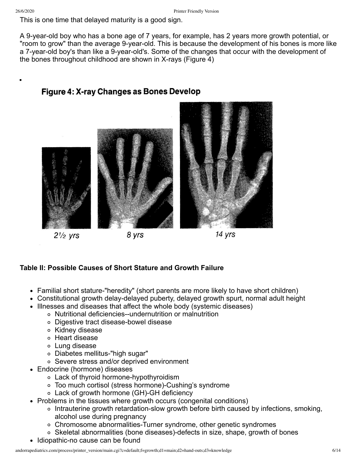This is one time that delayed maturity is a good sign.

A 9-year-old boy who has a bone age of 7 years, for example, has 2 years more growth potential, or "room to grow" than the average 9-year-old. This is because the development of his bones is more like a 7-year-old boy's than like a 9-year-old's. Some of the changes that occur with the development of the bones throughout childhood are shown in X-rays (Figure 4)



## **Table II: Possible Causes of Short Stature and Growth Failure**

- Familial short stature-"heredity" (short parents are more likely to have short children)
- Constitutional growth delay-delayed puberty, delayed growth spurt, normal adult height
- Illnesses and diseases that affect the whole body (systemic diseases)
	- Nutritional deficiencies--undernutrition or malnutrition
	- Digestive tract disease-bowel disease
	- Kidney disease
	- Heart disease
	- Lung disease
	- Diabetes mellitus-"high sugar"
	- Severe stress and/or deprived environment
- Endocrine (hormone) diseases
	- Lack of thyroid hormone-hypothyroidism
	- Too much cortisol (stress hormone)-Cushing's syndrome
		- Lack of growth hormone (GH)-GH deficiency
- Problems in the tissues where growth occurs (congenital conditions)
	- Intrauterine growth retardation-slow growth before birth caused by infections, smoking, alcohol use during pregnancy
	- Chromosome abnormalities-Turner syndrome, other genetic syndromes
	- Skeletal abnormalities (bone diseases)-defects in size, shape, growth of bones
- Idiopathic-no cause can be found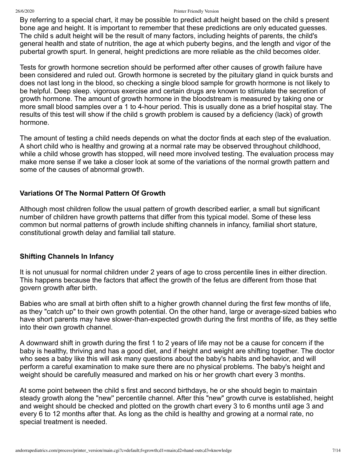#### 26/6/2020 Printer Friendly Version

By referring to a special chart, it may be possible to predict adult height based on the child s present bone age and height. It is important to remember that these predictions are only educated guesses. The child s adult height will be the result of many factors, including heights of parents, the child's general health and state of nutrition, the age at which puberty begins, and the length and vigor of the pubertal growth spurt. In general, height predictions are more reliable as the child becomes older.

Tests for growth hormone secretion should be performed after other causes of growth failure have been considered and ruled out. Growth hormone is secreted by the pituitary gland in quick bursts and does not last long in the blood, so checking a single blood sample for growth hormone is not likely to be helpful. Deep sleep. vigorous exercise and certain drugs are known to stimulate the secretion of growth hormone. The amount of growth hormone in the bloodstream is measured by taking one or more small blood samples over a 1 to 4-hour period. This is usually done as a brief hospital stay. The results of this test will show if the child s growth problem is caused by a deficiency (lack) of growth hormone.

The amount of testing a child needs depends on what the doctor finds at each step of the evaluation. A short child who is healthy and growing at a normal rate may be observed throughout childhood, while a child whose growth has stopped, will need more involved testing. The evaluation process may make more sense if we take a closer look at some of the variations of the normal growth pattern and some of the causes of abnormal growth.

#### **Variations Of The Normal Pattern Of Growth**

Although most children follow the usual pattern of growth described earlier, a small but significant number of children have growth patterns that differ from this typical model. Some of these less common but normal patterns of growth include shifting channels in infancy, familial short stature, constitutional growth delay and familial tall stature.

#### **Shifting Channels In Infancy**

It is not unusual for normal children under 2 years of age to cross percentile lines in either direction. This happens because the factors that affect the growth of the fetus are different from those that govern growth after birth.

Babies who are small at birth often shift to a higher growth channel during the first few months of life, as they "catch up" to their own growth potential. On the other hand, large or average-sized babies who have short parents may have slower-than-expected growth during the first months of life, as they settle into their own growth channel.

A downward shift in growth during the first 1 to 2 years of life may not be a cause for concern if the baby is healthy, thriving and has a good diet, and if height and weight are shifting together. The doctor who sees a baby like this will ask many questions about the baby's habits and behavior, and will perform a careful examination to make sure there are no physical problems. The baby's height and weight should be carefully measured and marked on his or her growth chart every 3 months.

At some point between the child s first and second birthdays, he or she should begin to maintain steady growth along the "new'' percentile channel. After this "new" growth curve is established, height and weight should be checked and plotted on the growth chart every 3 to 6 months until age 3 and every 6 to 12 months after that. As long as the child is healthy and growing at a normal rate, no special treatment is needed.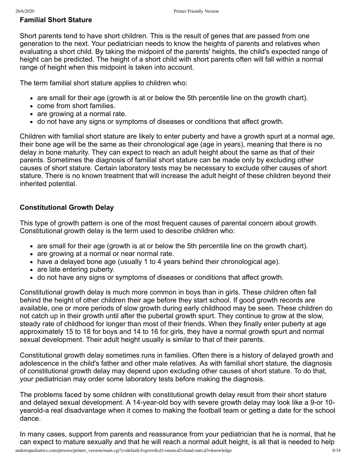#### **Familial Short Stature**

Short parents tend to have short children. This is the result of genes that are passed from one generation to the next. Your pediatrician needs to know the heights of parents and relatives when evaluating a short child. By taking the midpoint of the parents' heights, the child's expected range of height can be predicted. The height of a short child with short parents often will fall within a normal range of height when this midpoint is taken into account.

The term familial short stature applies to children who:

- are small for their age (growth is at or below the 5th percentile line on the growth chart).
- come from short families.
- are growing at a normal rate.
- do not have any signs or symptoms of diseases or conditions that affect growth.

Children with familial short stature are likely to enter puberty and have a growth spurt at a normal age, their bone age will be the same as their chronological age (age in years), meaning that there is no delay in bone maturity. They can expect to reach an adult height about the same as that of their parents. Sometimes the diagnosis of familial short stature can be made only by excluding other causes of short stature. Certain laboratory tests may be necessary to exclude other causes of short stature. There is no known treatment that will increase the adult height of these children beyond their inherited potential.

#### **Constitutional Growth Delay**

This type of growth pattern is one of the most frequent causes of parental concern about growth. Constitutional growth delay is the term used to describe children who:

- are small for their age (growth is at or below the 5th percentile line on the growth chart).
- are growing at a normal or near normal rate.
- have a delayed bone age (usually 1 to 4 years behind their chronological age).
- are late entering puberty.
- do not have any signs or symptoms of diseases or conditions that affect growth.

Constitutional growth delay is much more common in boys than in girls. These children often fall behind the height of other children their age before they start school. If good growth records are available, one or more periods of slow growth during early childhood may be seen. These children do not catch up in their growth until after the pubertal growth spurt. They continue to grow at the slow, steady rate of childhood for longer than most of their friends. When they finally enter puberty at age approximately 15 to 18 for boys and 14 to 16 for girls, they have a normal growth spurt and normal sexual development. Their adult height usually is similar to that of their parents.

Constitutional growth delay sometimes runs in families. Often there is a history of delayed growth and adolescence in the child's father and other male relatives. As with familial short stature, the diagnosis of constitutional growth delay may depend upon excluding other causes of short stature. To do that, your pediatrician may order some laboratory tests before making the diagnosis.

The problems faced by some children with constitutional growth delay result from their short stature and delayed sexual development. A 14-year-old boy with severe growth delay may look like a 9-or 10 yearold-a real disadvantage when it comes to making the football team or getting a date for the school dance.

In many cases, support from parents and reassurance from your pediatrician that he is normal, that he can expect to mature sexually and that he will reach a normal adult height, is all that is needed to help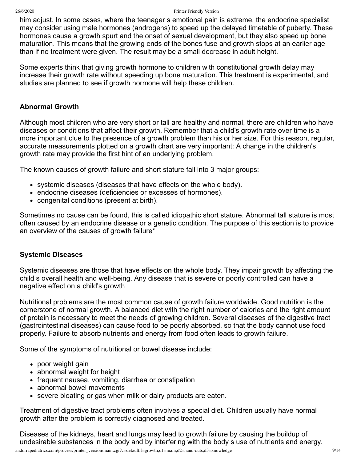#### 26/6/2020 Printer Friendly Version

him adjust. In some cases, where the teenager s emotional pain is extreme, the endocrine specialist may consider using male hormones (androgens) to speed up the delayed timetable of puberty. These hormones cause a growth spurt and the onset of sexual development, but they also speed up bone maturation. This means that the growing ends of the bones fuse and growth stops at an earlier age than if no treatment were given. The result may be a small decrease in adult height.

Some experts think that giving growth hormone to children with constitutional growth delay may increase their growth rate without speeding up bone maturation. This treatment is experimental, and studies are planned to see if growth hormone will help these children.

#### **Abnormal Growth**

Although most children who are very short or tall are healthy and normal, there are children who have diseases or conditions that affect their growth. Remember that a child's growth rate over time is a more important clue to the presence of a growth problem than his or her size. For this reason, regular, accurate measurements plotted on a growth chart are very important: A change in the children's growth rate may provide the first hint of an underlying problem.

The known causes of growth failure and short stature fall into 3 major groups:

- $\bullet$  systemic diseases (diseases that have effects on the whole body).
- endocrine diseases (deficiencies or excesses of hormones).
- congenital conditions (present at birth).

Sometimes no cause can be found, this is called idiopathic short stature. Abnormal tall stature is most often caused by an endocrine disease or a genetic condition. The purpose of this section is to provide an overview of the causes of growth failure\*

#### **Systemic Diseases**

Systemic diseases are those that have effects on the whole body. They impair growth by affecting the child s overall health and well-being. Any disease that is severe or poorly controlled can have a negative effect on a child's growth

Nutritional problems are the most common cause of growth failure worldwide. Good nutrition is the cornerstone of normal growth. A balanced diet with the right number of calories and the right amount of protein is necessary to meet the needs of growing children. Several diseases of the digestive tract (gastrointestinal diseases) can cause food to be poorly absorbed, so that the body cannot use food properly. Failure to absorb nutrients and energy from food often leads to growth failure.

Some of the symptoms of nutritional or bowel disease include:

- poor weight gain
- abnormal weight for height
- frequent nausea, vomiting, diarrhea or constipation
- abnormal bowel movements
- severe bloating or gas when milk or dairy products are eaten.

Treatment of digestive tract problems often involves a special diet. Children usually have normal growth after the problem is correctly diagnosed and treated.

Diseases of the kidneys, heart and lungs may lead to growth failure by causing the buildup of undesirable substances in the body and by interfering with the body s use of nutrients and energy.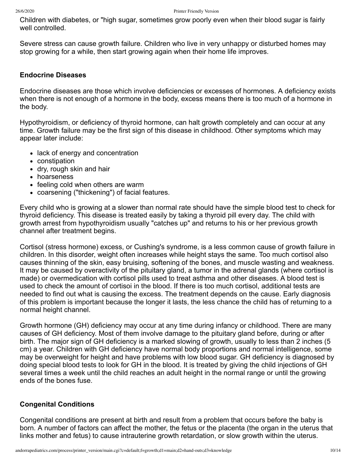Children with diabetes, or "high sugar, sometimes grow poorly even when their blood sugar is fairly well controlled.

Severe stress can cause growth failure. Children who live in very unhappy or disturbed homes may stop growing for a while, then start growing again when their home life improves.

#### **Endocrine Diseases**

Endocrine diseases are those which involve deficiencies or excesses of hormones. A deficiency exists when there is not enough of a hormone in the body, excess means there is too much of a hormone in the body.

Hypothyroidism, or deficiency of thyroid hormone, can halt growth completely and can occur at any time. Growth failure may be the first sign of this disease in childhood. Other symptoms which may appear later include:

- lack of energy and concentration
- constipation
- dry, rough skin and hair
- hoarseness
- feeling cold when others are warm
- coarsening ("thickening") of facial features.

Every child who is growing at a slower than normal rate should have the simple blood test to check for thyroid deficiency. This disease is treated easily by taking a thyroid pill every day. The child with growth arrest from hypothyroidism usually "catches up" and returns to his or her previous growth channel after treatment begins.

Cortisol (stress hormone) excess, or Cushing's syndrome, is a less common cause of growth failure in children. In this disorder, weight often increases while height stays the same. Too much cortisol also causes thinning of the skin, easy bruising, softening of the bones, and muscle wasting and weakness. It may be caused by overactivity of the pituitary gland, a tumor in the adrenal glands (where cortisol is made) or overmedication with cortisol pills used to treat asthma and other diseases. A blood test is used to check the amount of cortisoi in the blood. If there is too much cortisol, additional tests are needed to find out what is causing the excess. The treatment depends on the cause. Early diagnosis of this problem is important because the longer it lasts, the less chance the child has of returning to a normal height channel.

Growth hormone (GH) deficiency may occur at any time during infancy or childhood. There are many causes of GH deficiency. Most of them involve damage to the pituitary gland before, during or after birth. The major sign of GH deficiency is a marked slowing of growth, usually to less than 2 inches (5 cm) a year. Children with GH deficiency have normal body proportions and normal intelligence, some may be overweight for height and have problems with low blood sugar. GH deficiency is diagnosed by doing special blood tests to look for GH in the blood. It is treated by giving the child injections of GH several times a week until the child reaches an adult height in the normal range or until the growing ends of the bones fuse.

#### **Congenital Conditions**

Congenital conditions are present at birth and result from a problem that occurs before the baby is born. A number of factors can affect the mother, the fetus or the placenta (the organ in the uterus that links mother and fetus) to cause intrauterine growth retardation, or slow growth within the uterus.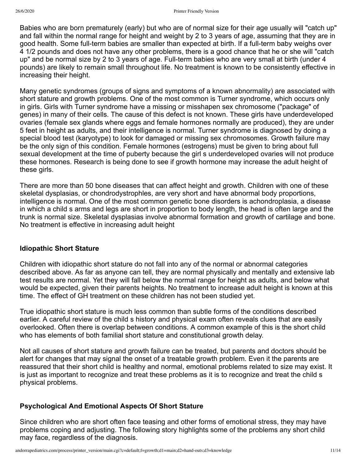Babies who are born prematurely (early) but who are of normal size for their age usually will "catch up" and fall within the normal range for height and weight by 2 to 3 years of age, assuming that they are in good health. Some full-term babies are smaller than expected at birth. If a full-term baby weighs over 4 1/2 pounds and does not have any other problems, there is a good chance that he or she will "catch up" and be normal size by 2 to 3 years of age. Full-term babies who are very small at birth (under 4 pounds) are likely to remain small throughout life. No treatment is known to be consistently effective in increasing their height.

Many genetic syndromes (groups of signs and symptoms of a known abnormality) are associated with short stature and growth problems. One of the most common is Turner syndrome, which occurs only in girls. Girls with Turner syndrome have a missing or misshapen sex chromosome ("package" of genes) in many of their cells. The cause of this defect is not known. These girls have underdeveloped ovaries (female sex glands where eggs and female hormones normally are produced), they are under 5 feet in height as adults, and their intelligence is normal. Turner syndrome is diagnosed by doing a special blood test (karyotype) to look for damaged or missing sex chromosomes. Growth failure may be the only sign of this condition. Female hormones (estrogens) must be given to bring about full sexual development at the time of puberty because the girl s underdeveloped ovaries will not produce these hormones. Research is being done to see if growth hormone may increase the adult height of these girls.

There are more than 50 bone diseases that can affect height and growth. Children with one of these skeletal dysplasias, or chondrodystrophles, are very short and have abnormal body proportions, intelligence is normal. One of the most common genetic bone disorders is achondroplasia, a disease in which a child s arms and legs are short in proportion to body length, the head is often large and the trunk is normal size. Skeletal dysplasias involve abnormal formation and growth of cartilage and bone. No treatment is effective in increasing adult height

#### **Idiopathic Short Stature**

Children with idiopathic short stature do not fall into any of the normal or abnormal categories described above. As far as anyone can tell, they are normal physically and mentally and extensive lab test results are normal. Yet they will fall below the normal range for height as adults, and below what would be expected, given their parents heights. No treatment to increase adult height is known at this time. The effect of GH treatment on these children has not been studied yet.

True idiopathic short stature is much less common than subtle forms of the conditions described earlier. A careful review of the child s history and physical exam often reveals clues that are easily overlooked. Often there is overlap between conditions. A common example of this is the short child who has elements of both familial short stature and constitutional growth delay.

Not all causes of short stature and growth failure can be treated, but parents and doctors should be alert for changes that may signal the onset of a treatable growth problem. Even it the parents are reassured that their short child is healthy and normal, emotional problems related to size may exist. It is just as important to recognize and treat these problems as it is to recognize and treat the child s physical problems.

#### **Psychological And Emotional Aspects Of Short Stature**

Since children who are short often face teasing and other forms of emotional stress, they may have problems coping and adjusting. The following story highlights some of the problems any short child may face, regardless of the diagnosis.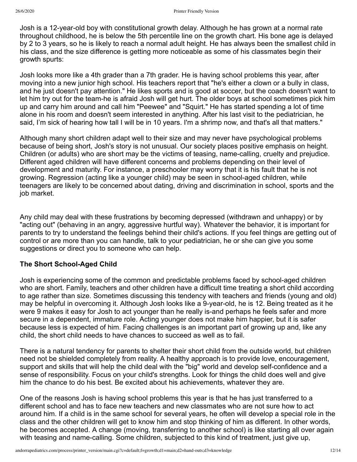Josh is a 12-year-old boy with constitutional growth delay. Although he has grown at a normal rate throughout childhood, he is below the 5th percentile line on the growth chart. His bone age is delayed by 2 to 3 years, so he is likely to reach a normal adult height. He has always been the smallest child in his class, and the size difference is getting more noticeable as some of his classmates begin their growth spurts:

Josh looks more like a 4th grader than a 7th grader. He is having school problems this year, after moving into a new junior high school. His teachers report that "he's either a clown or a bully in class, and he just doesn't pay attention." He likes sports and is good at soccer, but the coach doesn't want to let him try out for the team-he is afraid Josh will get hurt. The older boys at school sometimes pick him up and carry him around and call him "Peewee" and "Squirt." He has started spending a lot of time alone in his room and doesn't seem interested in anything. After his last visit to the pediatrician, he said, I'm sick of hearing how tall I will be in 10 years. I'm a shrimp now, and that's all that matters."

Although many short children adapt well to their size and may never have psychological problems because of being short, Josh's story is not unusual. Our society places positive emphasis on height. Children (or adults) who are short may be the victims of teasing, name-calling, cruelty and prejudice. Different aged children will have different concerns and problems depending on their level of development and maturity. For instance, a preschooler may worry that it is his fault that he is not growing. Regression (acting like a younger child) may be seen in school-aged children, while teenagers are likely to be concerned about dating, driving and discrimination in school, sports and the job market.

Any child may deal with these frustrations by becoming depressed (withdrawn and unhappy) or by "acting out" (behaving in an angry, aggressive hurtful way). Whatever the behavior, it is important for parents to try to understand the feelings behind their child's actions. If you feel things are getting out of control or are more than you can handle, talk to your pediatrician, he or she can give you some suggestions or direct you to someone who can help.

#### **The Short School-Aged Child**

Josh is experiencing some of the common and predictable problems faced by school-aged children who are short. Family, teachers and other children have a difficult time treating a short child according to age rather than size. Sometimes discussing this tendency with teachers and friends (young and old) may be helpful in overcoming it. Although Josh looks like a 9-year-old, he is 12. Being treated as it he were 9 makes it easy for Josh to act younger than he really is-and perhaps he feels safer and more secure in a dependent, immature role. Acting younger does not make him happier, but it is safer because less is expected of him. Facing challenges is an important part of growing up and, like any child, the short child needs to have chances to succeed as well as to fail.

There is a natural tendency for parents to shelter their short child from the outside world, but children need not be shielded completely from reality. A healthy approach is to provide love, encouragement, support and skills that will help the child deal with the "big" world and develop self-confidence and a sense of responsibility. Focus on your child's strengths. Look for things the child does well and give him the chance to do his best. Be excited about his achievements, whatever they are.

One of the reasons Josh is having school problems this year is that he has just transferred to a different school and has to face new teachers and new classmates who are not sure how to act around him. If a child is in the same school for several years, he often will develop a special role in the class and the other children will get to know him and stop thinking of him as different. In other words, he becomes accepted. A change (moving, transferring to another school) is like starting all over again with teasing and name-calling. Some children, subjected to this kind of treatment, just give up,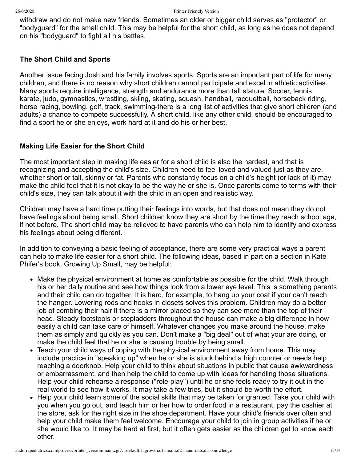withdraw and do not make new friends. Sometimes an older or bigger child serves as "protector" or "bodyguard" for the small child. This may be helpful for the short child, as long as he does not depend on his "bodyguard" to fight all his battles.

#### **The Short Child and Sports**

Another issue facing Josh and his family involves sports. Sports are an important part of life for many children, and there is no reason why short children cannot participate and excel in athletic activities. Many sports require intelligence, strength and endurance more than tall stature. Soccer, tennis, karate, judo, gymnastics, wrestling, skiing, skating, squash, handball, racquetball, horseback riding, horse racing, bowling, golf, track, swimming-there is a long list of activities that give short children (and adults) a chance to compete successfully. A short child, like any other child, should be encouraged to find a sport he or she enjoys, work hard at it and do his or her best.

### **Making Life Easier for the Short Child**

The most important step in making life easier for a short child is also the hardest, and that is recognizing and accepting the child's size. Children need to feel loved and valued just as they are, whether short or tall, skinny or fat. Parents who constantly focus on a child's height (or lack of it) may make the child feel that it is not okay to be the way he or she is. Once parents come to terms with their child's size, they can talk about it with the child in an open and realistic way.

Children may have a hard time putting their feelings into words, but that does not mean they do not have feelings about being small. Short children know they are short by the time they reach school age, if not before. The short child may be relieved to have parents who can help him to identify and express his feelings about being different.

In addition to conveying a basic feeling of acceptance, there are some very practical ways a parent can help to make life easier for a short child. The following ideas, based in part on a section in Kate Phifer's book, Growing Up Small, may be helpful:

- Make the physical environment at home as comfortable as possible for the child. Walk through his or her daily routine and see how things look from a lower eye level. This is something parents and their child can do together. It is hard, for example, to hang up your coat if your can't reach the hanger. Lowering rods and hooks in closets solves this problem. Children may do a better job of combing their hair it there is a mirror placed so they can see more than the top of their head. Steady footstools or stepladders throughout the house can make a big difference in how easily a child can take care of himself. Whatever changes you make around the house, make them as simply and quickly as you can. Don't make a "big deal" out of what your are doing, or make the child feel that he or she is causing trouble by being small.
- Teach your child ways of coping with the physical environment away from home. This may include practice in "speaking up" when he or she is stuck behind a high counter or needs help reaching a doorknob. Help your child to think about situations in public that cause awkwardness or embarrassment, and then help the child to come up with ideas for handling those situations. Help your child rehearse a response ("role-play") until he or she feels ready to try it out in the real world to see how it works. It may take a few tries, but it should be worth the effort.
- Help your child learn some of the social skills that may be taken for granted. Take your child with you when you go out, and teach him or her how to order food in a restaurant, pay the cashier at the store, ask for the right size in the shoe department. Have your child's friends over often and help your child make them feel welcome. Encourage your child to join in group activities if he or she would like to. It may be hard at first, but it often gets easier as the children get to know each other.